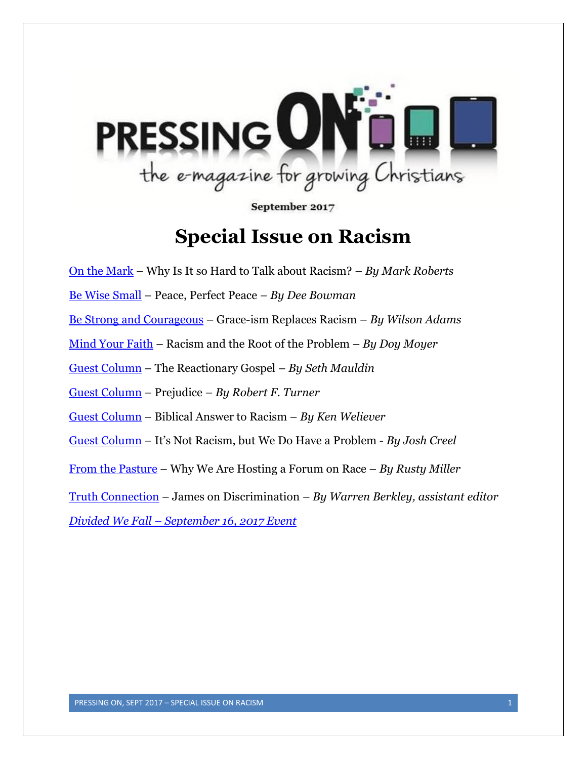

September 2017

# **Special Issue on Racism**

<span id="page-0-0"></span>[On the Mark](#page-2-0) – Why Is It so Hard to Talk about Racism? – *By Mark Roberts*

[Be Wise Small](#page-5-0) – Peace, Perfect Peace *– By Dee Bowman*

[Be Strong and Courageous](#page-7-0) – Grace-ism Replaces Racism *– By Wilson Adams*

[Mind Your Faith](#page-10-0) – Racism and the Root of the Problem – *By Doy Moyer*

[Guest Column](#page-14-0) – The Reactionary Gospel – *By Seth Mauldin*

[Guest Column](#page-18-0) – Prejudice – *By Robert F. Turner*

[Guest Column](#page-20-0) – Biblical Answer to Racism – *By Ken Weliever*

[Guest Column](#page-23-0) – It's Not Racism, but We Do Have a Problem - *By Josh Creel*

[From the Pasture](#page-26-0) – Why We Are Hosting a Forum on Race – *By Rusty Miller*

[Truth Connection](#page-30-0) – James on Discrimination – *By Warren Berkley, assistant editor*

*Divided We Fall – [September 16, 2017 Event](#page-28-0)*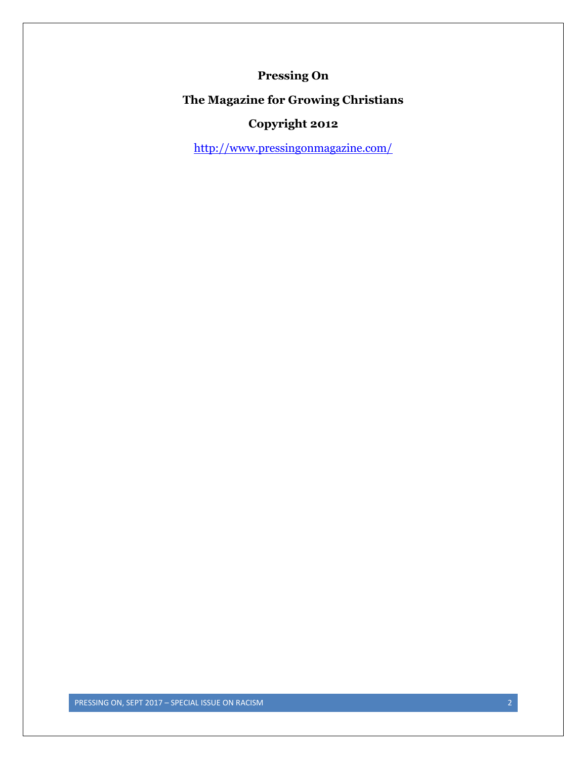### **Pressing On**

### **The Magazine for Growing Christians**

## **Copyright 2012**

<http://www.pressingonmagazine.com/>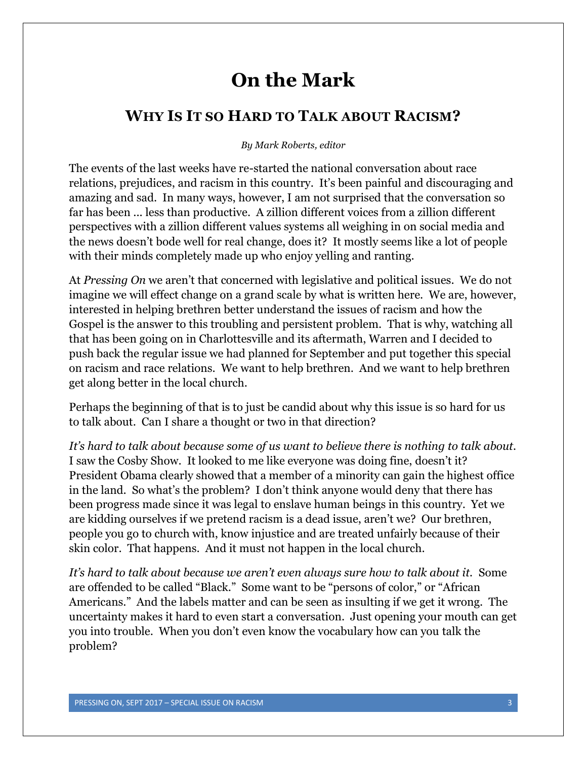# **On the Mark**

## <span id="page-2-0"></span>**WHY IS IT SO HARD TO TALK ABOUT RACISM?**

#### *By Mark Roberts, editor*

The events of the last weeks have re-started the national conversation about race relations, prejudices, and racism in this country. It's been painful and discouraging and amazing and sad. In many ways, however, I am not surprised that the conversation so far has been ... less than productive. A zillion different voices from a zillion different perspectives with a zillion different values systems all weighing in on social media and the news doesn't bode well for real change, does it? It mostly seems like a lot of people with their minds completely made up who enjoy yelling and ranting.

At *Pressing On* we aren't that concerned with legislative and political issues. We do not imagine we will effect change on a grand scale by what is written here. We are, however, interested in helping brethren better understand the issues of racism and how the Gospel is the answer to this troubling and persistent problem. That is why, watching all that has been going on in Charlottesville and its aftermath, Warren and I decided to push back the regular issue we had planned for September and put together this special on racism and race relations. We want to help brethren. And we want to help brethren get along better in the local church.

Perhaps the beginning of that is to just be candid about why this issue is so hard for us to talk about. Can I share a thought or two in that direction?

*It's hard to talk about because some of us want to believe there is nothing to talk about.* I saw the Cosby Show. It looked to me like everyone was doing fine, doesn't it? President Obama clearly showed that a member of a minority can gain the highest office in the land. So what's the problem? I don't think anyone would deny that there has been progress made since it was legal to enslave human beings in this country. Yet we are kidding ourselves if we pretend racism is a dead issue, aren't we? Our brethren, people you go to church with, know injustice and are treated unfairly because of their skin color. That happens. And it must not happen in the local church.

*It's hard to talk about because we aren't even always sure how to talk about it.* Some are offended to be called "Black." Some want to be "persons of color," or "African Americans." And the labels matter and can be seen as insulting if we get it wrong. The uncertainty makes it hard to even start a conversation. Just opening your mouth can get you into trouble. When you don't even know the vocabulary how can you talk the problem?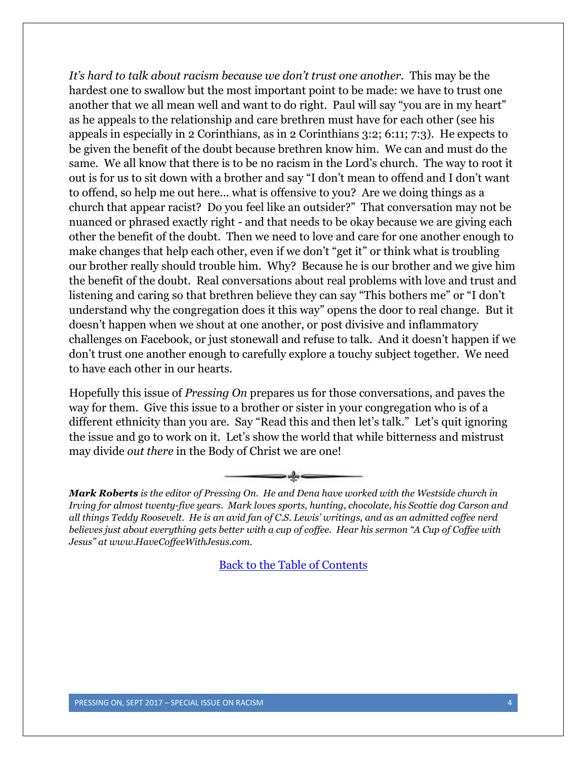*It's hard to talk about racism because we don't trust one another.* This may be the hardest one to swallow but the most important point to be made: we have to trust one another that we all mean well and want to do right. Paul will say "you are in my heart" as he appeals to the relationship and care brethren must have for each other (see his appeals in especially in 2 Corinthians, as in 2 Corinthians 3:2; 6:11; 7:3). He expects to be given the benefit of the doubt because brethren know him. We can and must do the same. We all know that there is to be no racism in the Lord's church. The way to root it out is for us to sit down with a brother and say "I don't mean to offend and I don't want to offend, so help me out here... what is offensive to you? Are we doing things as a church that appear racist? Do you feel like an outsider?" That conversation may not be nuanced or phrased exactly right - and that needs to be okay because we are giving each other the benefit of the doubt. Then we need to love and care for one another enough to make changes that help each other, even if we don't "get it" or think what is troubling our brother really should trouble him. Why? Because he is our brother and we give him the benefit of the doubt. Real conversations about real problems with love and trust and listening and caring so that brethren believe they can say "This bothers me" or "I don't understand why the congregation does it this way" opens the door to real change. But it doesn't happen when we shout at one another, or post divisive and inflammatory challenges on Facebook, or just stonewall and refuse to talk. And it doesn't happen if we don't trust one another enough to carefully explore a touchy subject together. We need to have each other in our hearts.

Hopefully this issue of *Pressing On* prepares us for those conversations, and paves the way for them. Give this issue to a brother or sister in your congregation who is of a different ethnicity than you are. Say "Read this and then let's talk." Let's quit ignoring the issue and go to work on it. Let's show the world that while bitterness and mistrust may divide *out there* in the Body of Christ we are one!



*Mark Roberts is the editor of Pressing On. He and Dena have worked with the Westside church in Irving for almost twenty-five years. Mark loves sports, hunting, chocolate, his Scottie dog Carson and all things Teddy Roosevelt. He is an avid fan of C.S. Lewis' writings, and as an admitted coffee nerd believes just about everything gets better with a cup of coffee. Hear his sermon "A Cup of Coffee with Jesus" at www.HaveCoffeeWithJesus.com.*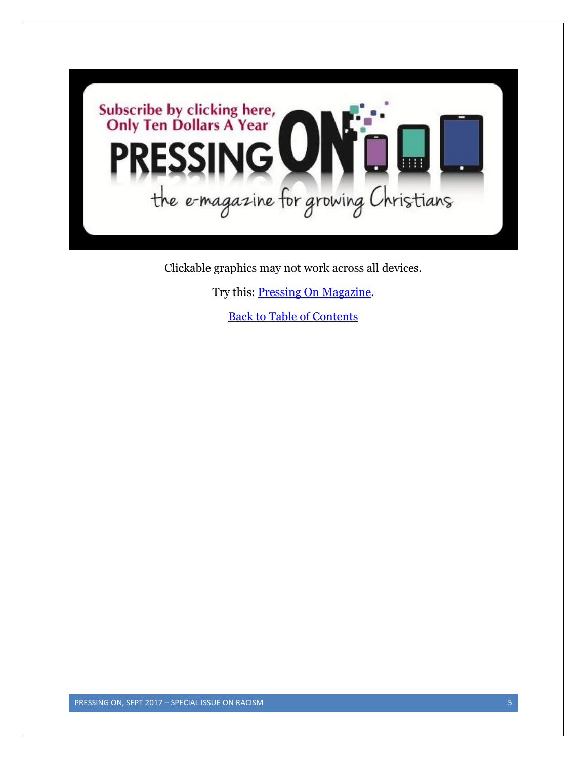

Clickable graphics may not work across all devices.

Try this: [Pressing On Magazine.](http://www.pressingonmagazine.com/)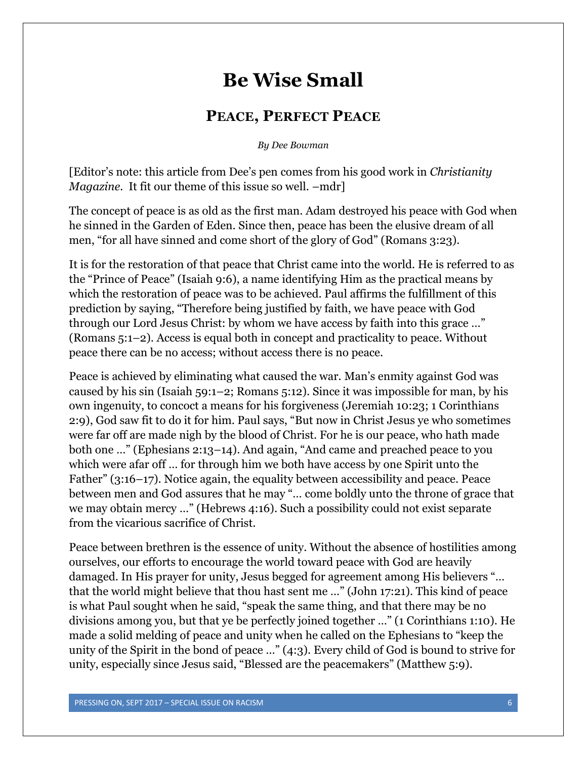## **Be Wise Small**

#### **PEACE, PERFECT PEACE**

*By Dee Bowman*

<span id="page-5-0"></span>[Editor's note: this article from Dee's pen comes from his good work in *Christianity Magazine.* It fit our theme of this issue so well. –mdr]

The concept of peace is as old as the first man. Adam destroyed his peace with God when he sinned in the Garden of Eden. Since then, peace has been the elusive dream of all men, "for all have sinned and come short of the glory of God" (Romans 3:23).

It is for the restoration of that peace that Christ came into the world. He is referred to as the "Prince of Peace" (Isaiah 9:6), a name identifying Him as the practical means by which the restoration of peace was to be achieved. Paul affirms the fulfillment of this prediction by saying, "Therefore being justified by faith, we have peace with God through our Lord Jesus Christ: by whom we have access by faith into this grace …" (Romans 5:1–2). Access is equal both in concept and practicality to peace. Without peace there can be no access; without access there is no peace.

Peace is achieved by eliminating what caused the war. Man's enmity against God was caused by his sin (Isaiah 59:1–2; Romans 5:12). Since it was impossible for man, by his own ingenuity, to concoct a means for his forgiveness (Jeremiah 10:23; 1 Corinthians 2:9), God saw fit to do it for him. Paul says, "But now in Christ Jesus ye who sometimes were far off are made nigh by the blood of Christ. For he is our peace, who hath made both one …" (Ephesians 2:13–14). And again, "And came and preached peace to you which were afar off … for through him we both have access by one Spirit unto the Father" (3:16–17). Notice again, the equality between accessibility and peace. Peace between men and God assures that he may "… come boldly unto the throne of grace that we may obtain mercy …" (Hebrews 4:16). Such a possibility could not exist separate from the vicarious sacrifice of Christ.

Peace between brethren is the essence of unity. Without the absence of hostilities among ourselves, our efforts to encourage the world toward peace with God are heavily damaged. In His prayer for unity, Jesus begged for agreement among His believers "… that the world might believe that thou hast sent me …" (John 17:21). This kind of peace is what Paul sought when he said, "speak the same thing, and that there may be no divisions among you, but that ye be perfectly joined together …" (1 Corinthians 1:10). He made a solid melding of peace and unity when he called on the Ephesians to "keep the unity of the Spirit in the bond of peace …" (4:3). Every child of God is bound to strive for unity, especially since Jesus said, "Blessed are the peacemakers" (Matthew 5:9).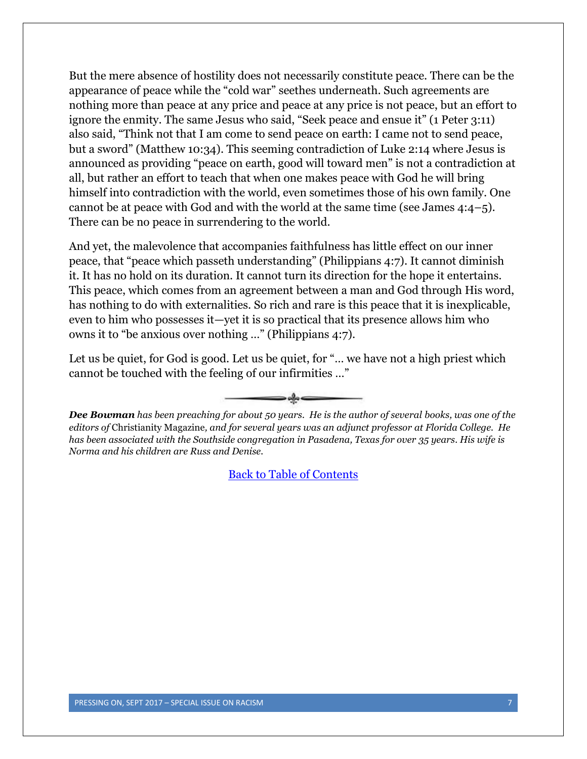But the mere absence of hostility does not necessarily constitute peace. There can be the appearance of peace while the "cold war" seethes underneath. Such agreements are nothing more than peace at any price and peace at any price is not peace, but an effort to ignore the enmity. The same Jesus who said, "Seek peace and ensue it" (1 Peter 3:11) also said, "Think not that I am come to send peace on earth: I came not to send peace, but a sword" (Matthew 10:34). This seeming contradiction of Luke 2:14 where Jesus is announced as providing "peace on earth, good will toward men" is not a contradiction at all, but rather an effort to teach that when one makes peace with God he will bring himself into contradiction with the world, even sometimes those of his own family. One cannot be at peace with God and with the world at the same time (see James 4:4–5). There can be no peace in surrendering to the world.

And yet, the malevolence that accompanies faithfulness has little effect on our inner peace, that "peace which passeth understanding" (Philippians 4:7). It cannot diminish it. It has no hold on its duration. It cannot turn its direction for the hope it entertains. This peace, which comes from an agreement between a man and God through His word, has nothing to do with externalities. So rich and rare is this peace that it is inexplicable, even to him who possesses it—yet it is so practical that its presence allows him who owns it to "be anxious over nothing …" (Philippians 4:7).

Let us be quiet, for God is good. Let us be quiet, for "... we have not a high priest which cannot be touched with the feeling of our infirmities …"



*Dee Bowman has been preaching for about 50 years. He is the author of several books, was one of the editors of* Christianity Magazine*, and for several years was an adjunct professor at Florida College. He has been associated with the Southside congregation in Pasadena, Texas for over 35 years. His wife is Norma and his children are Russ and Denise.*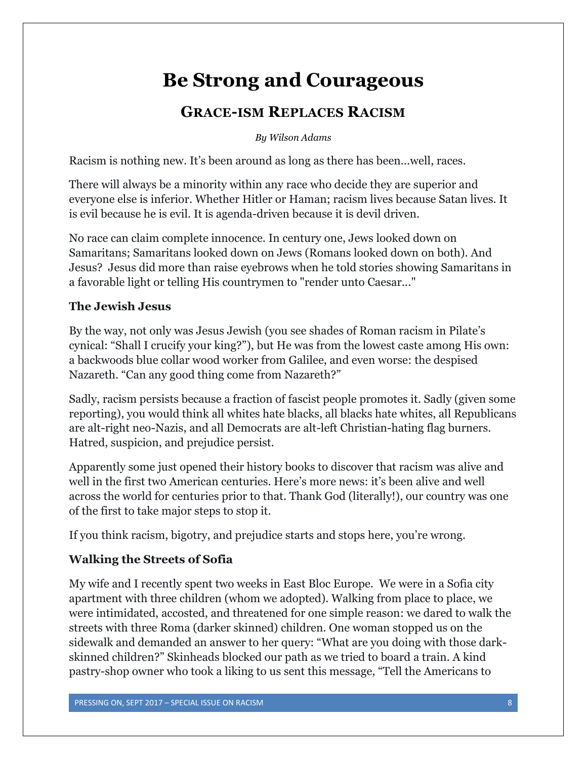# **Be Strong and Courageous**

## **GRACE-ISM REPLACES RACISM**

#### *By Wilson Adams*

<span id="page-7-0"></span>Racism is nothing new. It's been around as long as there has been...well, races.

There will always be a minority within any race who decide they are superior and everyone else is inferior. Whether Hitler or Haman; racism lives because Satan lives. It is evil because he is evil. It is agenda-driven because it is devil driven.

No race can claim complete innocence. In century one, Jews looked down on Samaritans; Samaritans looked down on Jews (Romans looked down on both). And Jesus? Jesus did more than raise eyebrows when he told stories showing Samaritans in a favorable light or telling His countrymen to "render unto Caesar..."

#### **The Jewish Jesus**

By the way, not only was Jesus Jewish (you see shades of Roman racism in Pilate's cynical: "Shall I crucify your king?"), but He was from the lowest caste among His own: a backwoods blue collar wood worker from Galilee, and even worse: the despised Nazareth. "Can any good thing come from Nazareth?"

Sadly, racism persists because a fraction of fascist people promotes it. Sadly (given some reporting), you would think all whites hate blacks, all blacks hate whites, all Republicans are alt-right neo-Nazis, and all Democrats are alt-left Christian-hating flag burners. Hatred, suspicion, and prejudice persist.

Apparently some just opened their history books to discover that racism was alive and well in the first two American centuries. Here's more news: it's been alive and well across the world for centuries prior to that. Thank God (literally!), our country was one of the first to take major steps to stop it.

If you think racism, bigotry, and prejudice starts and stops here, you're wrong.

#### **Walking the Streets of Sofia**

My wife and I recently spent two weeks in East Bloc Europe. We were in a Sofia city apartment with three children (whom we adopted). Walking from place to place, we were intimidated, accosted, and threatened for one simple reason: we dared to walk the streets with three Roma (darker skinned) children. One woman stopped us on the sidewalk and demanded an answer to her query: "What are you doing with those darkskinned children?" Skinheads blocked our path as we tried to board a train. A kind pastry-shop owner who took a liking to us sent this message, "Tell the Americans to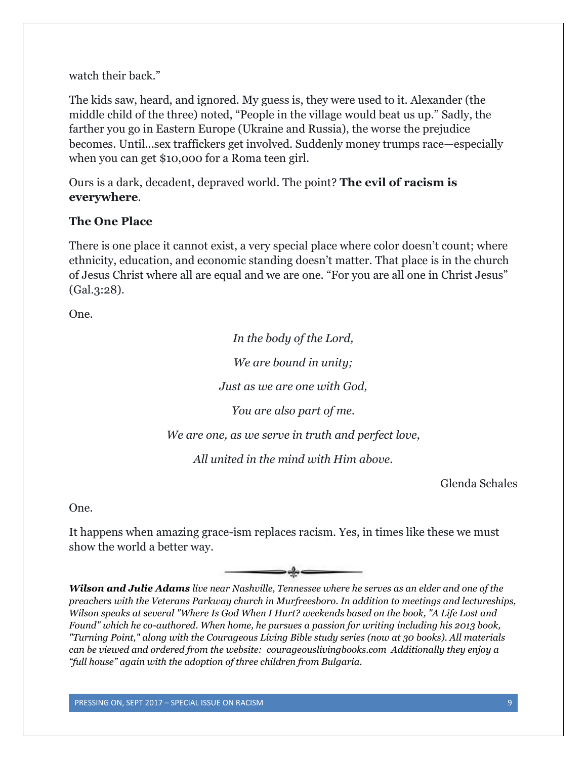watch their back."

The kids saw, heard, and ignored. My guess is, they were used to it. Alexander (the middle child of the three) noted, "People in the village would beat us up." Sadly, the farther you go in Eastern Europe (Ukraine and Russia), the worse the prejudice becomes. Until...sex traffickers get involved. Suddenly money trumps race—especially when you can get \$10,000 for a Roma teen girl.

Ours is a dark, decadent, depraved world. The point? **The evil of racism is everywhere**.

#### **The One Place**

There is one place it cannot exist, a very special place where color doesn't count; where ethnicity, education, and economic standing doesn't matter. That place is in the church of Jesus Christ where all are equal and we are one. "For you are all one in Christ Jesus" (Gal.3:28).

One.

*In the body of the Lord, We are bound in unity; Just as we are one with God, You are also part of me. We are one, as we serve in truth and perfect love, All united in the mind with Him above.*

Glenda Schales

One.

It happens when amazing grace-ism replaces racism. Yes, in times like these we must show the world a better way.



*Wilson and Julie Adams live near Nashville, Tennessee where he serves as an elder and one of the preachers with the Veterans Parkway church in Murfreesboro. In addition to meetings and lectureships, Wilson speaks at several "Where Is God When I Hurt? weekends based on the book, "A Life Lost and Found" which he co-authored. When home, he pursues a passion for writing including his 2013 book, "Turning Point," along with the Courageous Living Bible study series (now at 30 books). All materials can be viewed and ordered from the website: courageouslivingbooks.com Additionally they enjoy a "full house" again with the adoption of three children from Bulgaria.*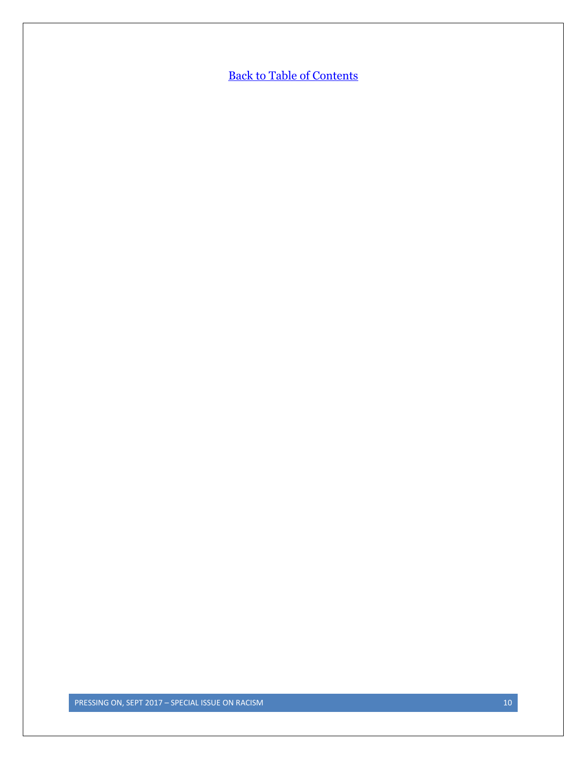**[Back to Table of Contents](#page-0-0)**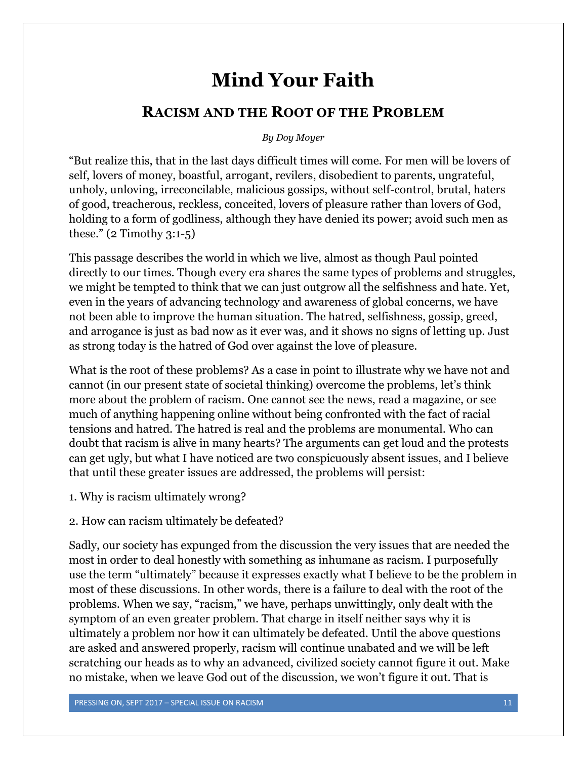## **Mind Your Faith**

#### <span id="page-10-0"></span>**RACISM AND THE ROOT OF THE PROBLEM**

#### *By Doy Moyer*

"But realize this, that in the last days difficult times will come. For men will be lovers of self, lovers of money, boastful, arrogant, revilers, disobedient to parents, ungrateful, unholy, unloving, irreconcilable, malicious gossips, without self-control, brutal, haters of good, treacherous, reckless, conceited, lovers of pleasure rather than lovers of God, holding to a form of godliness, although they have denied its power; avoid such men as these." (2 Timothy 3:1-5)

This passage describes the world in which we live, almost as though Paul pointed directly to our times. Though every era shares the same types of problems and struggles, we might be tempted to think that we can just outgrow all the selfishness and hate. Yet, even in the years of advancing technology and awareness of global concerns, we have not been able to improve the human situation. The hatred, selfishness, gossip, greed, and arrogance is just as bad now as it ever was, and it shows no signs of letting up. Just as strong today is the hatred of God over against the love of pleasure.

What is the root of these problems? As a case in point to illustrate why we have not and cannot (in our present state of societal thinking) overcome the problems, let's think more about the problem of racism. One cannot see the news, read a magazine, or see much of anything happening online without being confronted with the fact of racial tensions and hatred. The hatred is real and the problems are monumental. Who can doubt that racism is alive in many hearts? The arguments can get loud and the protests can get ugly, but what I have noticed are two conspicuously absent issues, and I believe that until these greater issues are addressed, the problems will persist:

1. Why is racism ultimately wrong?

#### 2. How can racism ultimately be defeated?

Sadly, our society has expunged from the discussion the very issues that are needed the most in order to deal honestly with something as inhumane as racism. I purposefully use the term "ultimately" because it expresses exactly what I believe to be the problem in most of these discussions. In other words, there is a failure to deal with the root of the problems. When we say, "racism," we have, perhaps unwittingly, only dealt with the symptom of an even greater problem. That charge in itself neither says why it is ultimately a problem nor how it can ultimately be defeated. Until the above questions are asked and answered properly, racism will continue unabated and we will be left scratching our heads as to why an advanced, civilized society cannot figure it out. Make no mistake, when we leave God out of the discussion, we won't figure it out. That is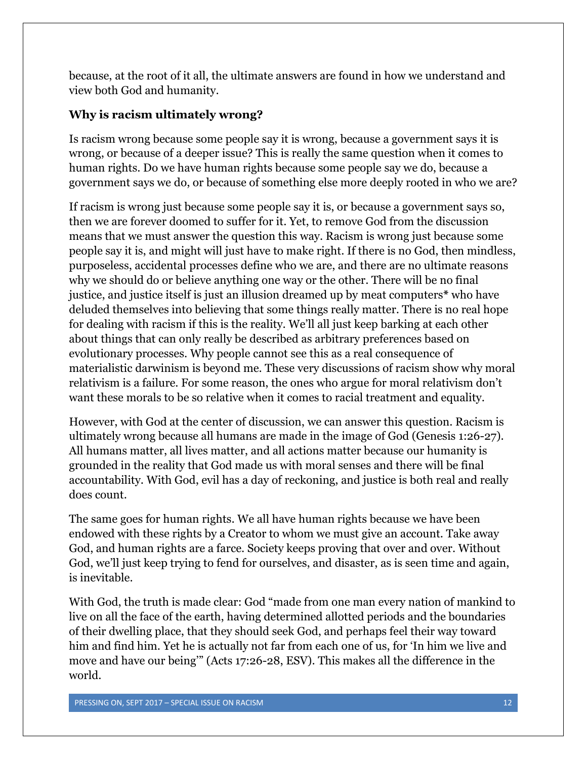because, at the root of it all, the ultimate answers are found in how we understand and view both God and humanity.

#### **Why is racism ultimately wrong?**

Is racism wrong because some people say it is wrong, because a government says it is wrong, or because of a deeper issue? This is really the same question when it comes to human rights. Do we have human rights because some people say we do, because a government says we do, or because of something else more deeply rooted in who we are?

If racism is wrong just because some people say it is, or because a government says so, then we are forever doomed to suffer for it. Yet, to remove God from the discussion means that we must answer the question this way. Racism is wrong just because some people say it is, and might will just have to make right. If there is no God, then mindless, purposeless, accidental processes define who we are, and there are no ultimate reasons why we should do or believe anything one way or the other. There will be no final justice, and justice itself is just an illusion dreamed up by meat computers**\*** who have deluded themselves into believing that some things really matter. There is no real hope for dealing with racism if this is the reality. We'll all just keep barking at each other about things that can only really be described as arbitrary preferences based on evolutionary processes. Why people cannot see this as a real consequence of materialistic darwinism is beyond me. These very discussions of racism show why moral relativism is a failure. For some reason, the ones who argue for moral relativism don't want these morals to be so relative when it comes to racial treatment and equality.

However, with God at the center of discussion, we can answer this question. Racism is ultimately wrong because all humans are made in the image of God (Genesis 1:26-27). All humans matter, all lives matter, and all actions matter because our humanity is grounded in the reality that God made us with moral senses and there will be final accountability. With God, evil has a day of reckoning, and justice is both real and really does count.

The same goes for human rights. We all have human rights because we have been endowed with these rights by a Creator to whom we must give an account. Take away God, and human rights are a farce. Society keeps proving that over and over. Without God, we'll just keep trying to fend for ourselves, and disaster, as is seen time and again, is inevitable.

With God, the truth is made clear: God "made from one man every nation of mankind to live on all the face of the earth, having determined allotted periods and the boundaries of their dwelling place, that they should seek God, and perhaps feel their way toward him and find him. Yet he is actually not far from each one of us, for 'In him we live and move and have our being'" (Acts 17:26-28, ESV). This makes all the difference in the world.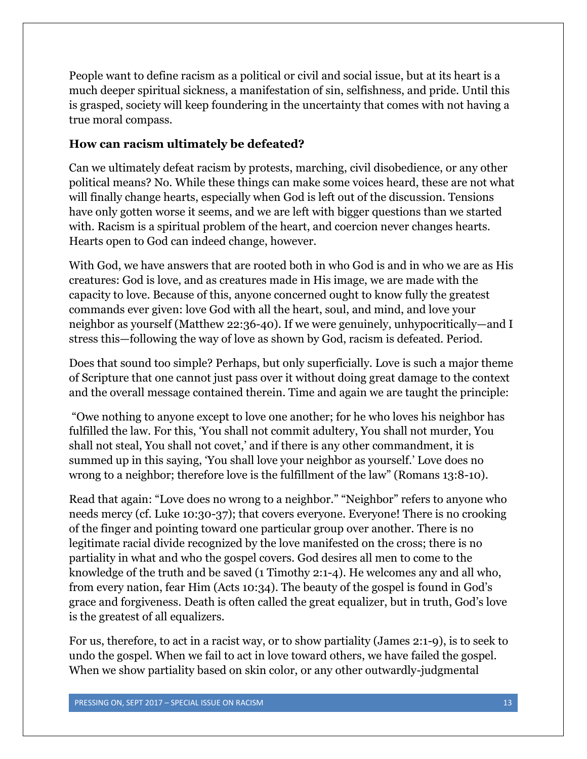People want to define racism as a political or civil and social issue, but at its heart is a much deeper spiritual sickness, a manifestation of sin, selfishness, and pride. Until this is grasped, society will keep foundering in the uncertainty that comes with not having a true moral compass.

#### **How can racism ultimately be defeated?**

Can we ultimately defeat racism by protests, marching, civil disobedience, or any other political means? No. While these things can make some voices heard, these are not what will finally change hearts, especially when God is left out of the discussion. Tensions have only gotten worse it seems, and we are left with bigger questions than we started with. Racism is a spiritual problem of the heart, and coercion never changes hearts. Hearts open to God can indeed change, however.

With God, we have answers that are rooted both in who God is and in who we are as His creatures: God is love, and as creatures made in His image, we are made with the capacity to love. Because of this, anyone concerned ought to know fully the greatest commands ever given: love God with all the heart, soul, and mind, and love your neighbor as yourself (Matthew 22:36-40). If we were genuinely, unhypocritically—and I stress this—following the way of love as shown by God, racism is defeated. Period.

Does that sound too simple? Perhaps, but only superficially. Love is such a major theme of Scripture that one cannot just pass over it without doing great damage to the context and the overall message contained therein. Time and again we are taught the principle:

"Owe nothing to anyone except to love one another; for he who loves his neighbor has fulfilled the law. For this, 'You shall not commit adultery, You shall not murder, You shall not steal, You shall not covet,' and if there is any other commandment, it is summed up in this saying, 'You shall love your neighbor as yourself.' Love does no wrong to a neighbor; therefore love is the fulfillment of the law" (Romans 13:8-10).

Read that again: "Love does no wrong to a neighbor." "Neighbor" refers to anyone who needs mercy (cf. Luke 10:30-37); that covers everyone. Everyone! There is no crooking of the finger and pointing toward one particular group over another. There is no legitimate racial divide recognized by the love manifested on the cross; there is no partiality in what and who the gospel covers. God desires all men to come to the knowledge of the truth and be saved (1 Timothy 2:1-4). He welcomes any and all who, from every nation, fear Him (Acts 10:34). The beauty of the gospel is found in God's grace and forgiveness. Death is often called the great equalizer, but in truth, God's love is the greatest of all equalizers.

For us, therefore, to act in a racist way, or to show partiality (James 2:1-9), is to seek to undo the gospel. When we fail to act in love toward others, we have failed the gospel. When we show partiality based on skin color, or any other outwardly-judgmental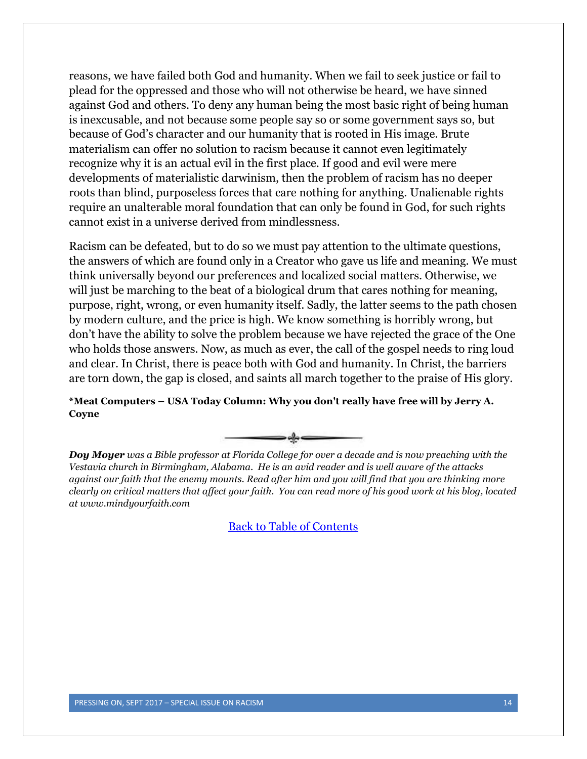reasons, we have failed both God and humanity. When we fail to seek justice or fail to plead for the oppressed and those who will not otherwise be heard, we have sinned against God and others. To deny any human being the most basic right of being human is inexcusable, and not because some people say so or some government says so, but because of God's character and our humanity that is rooted in His image. Brute materialism can offer no solution to racism because it cannot even legitimately recognize why it is an actual evil in the first place. If good and evil were mere developments of materialistic darwinism, then the problem of racism has no deeper roots than blind, purposeless forces that care nothing for anything. Unalienable rights require an unalterable moral foundation that can only be found in God, for such rights cannot exist in a universe derived from mindlessness.

Racism can be defeated, but to do so we must pay attention to the ultimate questions, the answers of which are found only in a Creator who gave us life and meaning. We must think universally beyond our preferences and localized social matters. Otherwise, we will just be marching to the beat of a biological drum that cares nothing for meaning, purpose, right, wrong, or even humanity itself. Sadly, the latter seems to the path chosen by modern culture, and the price is high. We know something is horribly wrong, but don't have the ability to solve the problem because we have rejected the grace of the One who holds those answers. Now, as much as ever, the call of the gospel needs to ring loud and clear. In Christ, there is peace both with God and humanity. In Christ, the barriers are torn down, the gap is closed, and saints all march together to the praise of His glory.

**\*Meat Computers – USA Today Column: Why you don't really have free will by Jerry A. Coyne**



*Doy Moyer was a Bible professor at Florida College for over a decade and is now preaching with the Vestavia church in Birmingham, Alabama. He is an avid reader and is well aware of the attacks against our faith that the enemy mounts. Read after him and you will find that you are thinking more clearly on critical matters that affect your faith. You can read more of his good work at his blog, located at www.mindyourfaith.com*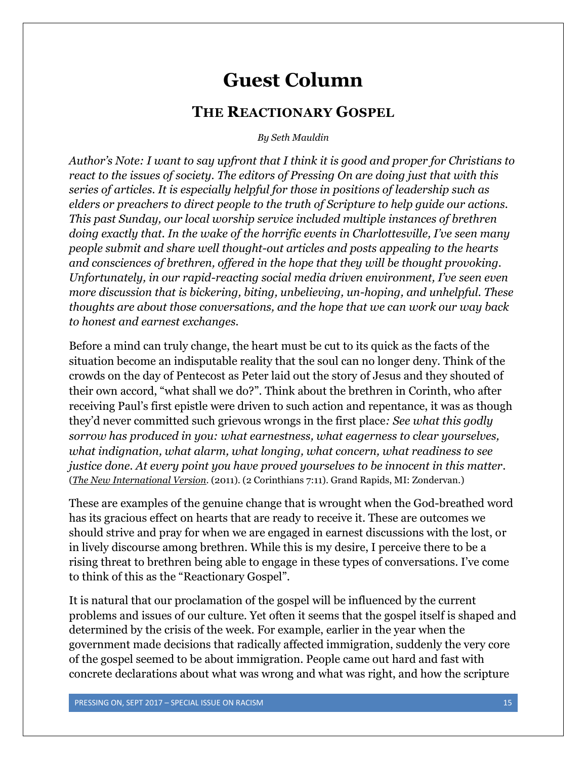## **Guest Column**

#### **THE REACTIONARY GOSPEL**

*By Seth Mauldin*

<span id="page-14-0"></span>*Author's Note: I want to say upfront that I think it is good and proper for Christians to react to the issues of society. The editors of Pressing On are doing just that with this series of articles. It is especially helpful for those in positions of leadership such as elders or preachers to direct people to the truth of Scripture to help guide our actions. This past Sunday, our local worship service included multiple instances of brethren doing exactly that. In the wake of the horrific events in Charlottesville, I've seen many people submit and share well thought-out articles and posts appealing to the hearts and consciences of brethren, offered in the hope that they will be thought provoking. Unfortunately, in our rapid-reacting social media driven environment, I've seen even more discussion that is bickering, biting, unbelieving, un-hoping, and unhelpful. These thoughts are about those conversations, and the hope that we can work our way back to honest and earnest exchanges.* 

Before a mind can truly change, the heart must be cut to its quick as the facts of the situation become an indisputable reality that the soul can no longer deny. Think of the crowds on the day of Pentecost as Peter laid out the story of Jesus and they shouted of their own accord, "what shall we do?". Think about the brethren in Corinth, who after receiving Paul's first epistle were driven to such action and repentance, it was as though they'd never committed such grievous wrongs in the first place*: See what this godly sorrow has produced in you: what earnestness, what eagerness to clear yourselves, what indignation, what alarm, what longing, what concern, what readiness to see justice done. At every point you have proved yourselves to be innocent in this matter*. (*The New International Version*. (2011). (2 Corinthians 7:11). Grand Rapids, MI: Zondervan.)

These are examples of the genuine change that is wrought when the God-breathed word has its gracious effect on hearts that are ready to receive it. These are outcomes we should strive and pray for when we are engaged in earnest discussions with the lost, or in lively discourse among brethren. While this is my desire, I perceive there to be a rising threat to brethren being able to engage in these types of conversations. I've come to think of this as the "Reactionary Gospel".

It is natural that our proclamation of the gospel will be influenced by the current problems and issues of our culture. Yet often it seems that the gospel itself is shaped and determined by the crisis of the week. For example, earlier in the year when the government made decisions that radically affected immigration, suddenly the very core of the gospel seemed to be about immigration. People came out hard and fast with concrete declarations about what was wrong and what was right, and how the scripture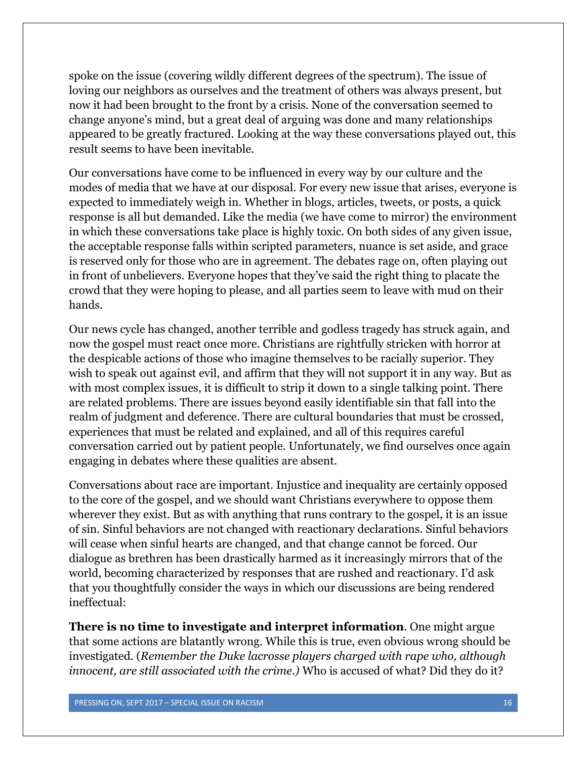spoke on the issue (covering wildly different degrees of the spectrum). The issue of loving our neighbors as ourselves and the treatment of others was always present, but now it had been brought to the front by a crisis. None of the conversation seemed to change anyone's mind, but a great deal of arguing was done and many relationships appeared to be greatly fractured. Looking at the way these conversations played out, this result seems to have been inevitable.

Our conversations have come to be influenced in every way by our culture and the modes of media that we have at our disposal. For every new issue that arises, everyone is expected to immediately weigh in. Whether in blogs, articles, tweets, or posts, a quick response is all but demanded. Like the media (we have come to mirror) the environment in which these conversations take place is highly toxic. On both sides of any given issue, the acceptable response falls within scripted parameters, nuance is set aside, and grace is reserved only for those who are in agreement. The debates rage on, often playing out in front of unbelievers. Everyone hopes that they've said the right thing to placate the crowd that they were hoping to please, and all parties seem to leave with mud on their hands.

Our news cycle has changed, another terrible and godless tragedy has struck again, and now the gospel must react once more. Christians are rightfully stricken with horror at the despicable actions of those who imagine themselves to be racially superior. They wish to speak out against evil, and affirm that they will not support it in any way. But as with most complex issues, it is difficult to strip it down to a single talking point. There are related problems. There are issues beyond easily identifiable sin that fall into the realm of judgment and deference. There are cultural boundaries that must be crossed, experiences that must be related and explained, and all of this requires careful conversation carried out by patient people. Unfortunately, we find ourselves once again engaging in debates where these qualities are absent.

Conversations about race are important. Injustice and inequality are certainly opposed to the core of the gospel, and we should want Christians everywhere to oppose them wherever they exist. But as with anything that runs contrary to the gospel, it is an issue of sin. Sinful behaviors are not changed with reactionary declarations. Sinful behaviors will cease when sinful hearts are changed, and that change cannot be forced. Our dialogue as brethren has been drastically harmed as it increasingly mirrors that of the world, becoming characterized by responses that are rushed and reactionary. I'd ask that you thoughtfully consider the ways in which our discussions are being rendered ineffectual:

**There is no time to investigate and interpret information**. One might argue that some actions are blatantly wrong. While this is true, even obvious wrong should be investigated. (*Remember the Duke lacrosse players charged with rape who, although innocent, are still associated with the crime.)* Who is accused of what? Did they do it?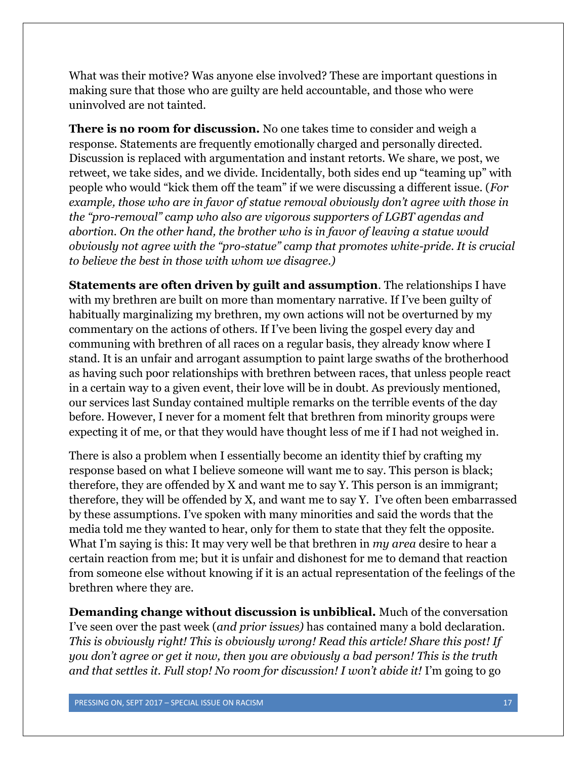What was their motive? Was anyone else involved? These are important questions in making sure that those who are guilty are held accountable, and those who were uninvolved are not tainted.

**There is no room for discussion.** No one takes time to consider and weigh a response. Statements are frequently emotionally charged and personally directed. Discussion is replaced with argumentation and instant retorts. We share, we post, we retweet, we take sides, and we divide. Incidentally, both sides end up "teaming up" with people who would "kick them off the team" if we were discussing a different issue. (*For example, those who are in favor of statue removal obviously don't agree with those in the "pro-removal" camp who also are vigorous supporters of LGBT agendas and abortion. On the other hand, the brother who is in favor of leaving a statue would obviously not agree with the "pro-statue" camp that promotes white-pride. It is crucial to believe the best in those with whom we disagree.)*

**Statements are often driven by guilt and assumption**. The relationships I have with my brethren are built on more than momentary narrative. If I've been guilty of habitually marginalizing my brethren, my own actions will not be overturned by my commentary on the actions of others. If I've been living the gospel every day and communing with brethren of all races on a regular basis, they already know where I stand. It is an unfair and arrogant assumption to paint large swaths of the brotherhood as having such poor relationships with brethren between races, that unless people react in a certain way to a given event, their love will be in doubt. As previously mentioned, our services last Sunday contained multiple remarks on the terrible events of the day before. However, I never for a moment felt that brethren from minority groups were expecting it of me, or that they would have thought less of me if I had not weighed in.

There is also a problem when I essentially become an identity thief by crafting my response based on what I believe someone will want me to say. This person is black; therefore, they are offended by X and want me to say Y. This person is an immigrant; therefore, they will be offended by X, and want me to say Y. I've often been embarrassed by these assumptions. I've spoken with many minorities and said the words that the media told me they wanted to hear, only for them to state that they felt the opposite. What I'm saying is this: It may very well be that brethren in *my area* desire to hear a certain reaction from me; but it is unfair and dishonest for me to demand that reaction from someone else without knowing if it is an actual representation of the feelings of the brethren where they are.

**Demanding change without discussion is unbiblical.** Much of the conversation I've seen over the past week (*and prior issues)* has contained many a bold declaration. *This is obviously right! This is obviously wrong! Read this article! Share this post! If you don't agree or get it now, then you are obviously a bad person! This is the truth and that settles it. Full stop! No room for discussion! I won't abide it!* I'm going to go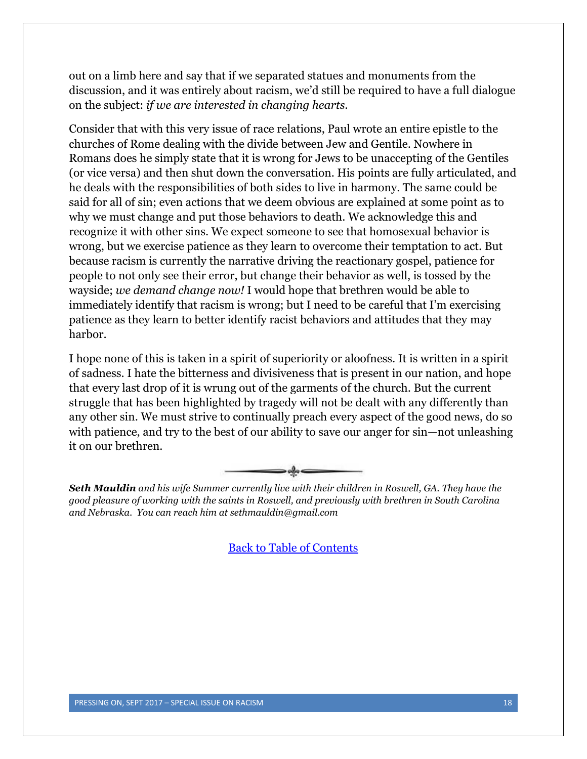out on a limb here and say that if we separated statues and monuments from the discussion, and it was entirely about racism, we'd still be required to have a full dialogue on the subject: *if we are interested in changing hearts.*

Consider that with this very issue of race relations, Paul wrote an entire epistle to the churches of Rome dealing with the divide between Jew and Gentile. Nowhere in Romans does he simply state that it is wrong for Jews to be unaccepting of the Gentiles (or vice versa) and then shut down the conversation. His points are fully articulated, and he deals with the responsibilities of both sides to live in harmony. The same could be said for all of sin; even actions that we deem obvious are explained at some point as to why we must change and put those behaviors to death. We acknowledge this and recognize it with other sins. We expect someone to see that homosexual behavior is wrong, but we exercise patience as they learn to overcome their temptation to act. But because racism is currently the narrative driving the reactionary gospel, patience for people to not only see their error, but change their behavior as well, is tossed by the wayside; *we demand change now!* I would hope that brethren would be able to immediately identify that racism is wrong; but I need to be careful that I'm exercising patience as they learn to better identify racist behaviors and attitudes that they may harbor.

I hope none of this is taken in a spirit of superiority or aloofness. It is written in a spirit of sadness. I hate the bitterness and divisiveness that is present in our nation, and hope that every last drop of it is wrung out of the garments of the church. But the current struggle that has been highlighted by tragedy will not be dealt with any differently than any other sin. We must strive to continually preach every aspect of the good news, do so with patience, and try to the best of our ability to save our anger for sin—not unleashing it on our brethren.



*Seth Mauldin and his wife Summer currently live with their children in Roswell, GA. They have the good pleasure of working with the saints in Roswell, and previously with brethren in South Carolina and Nebraska. You can reach him at sethmauldin@gmail.com*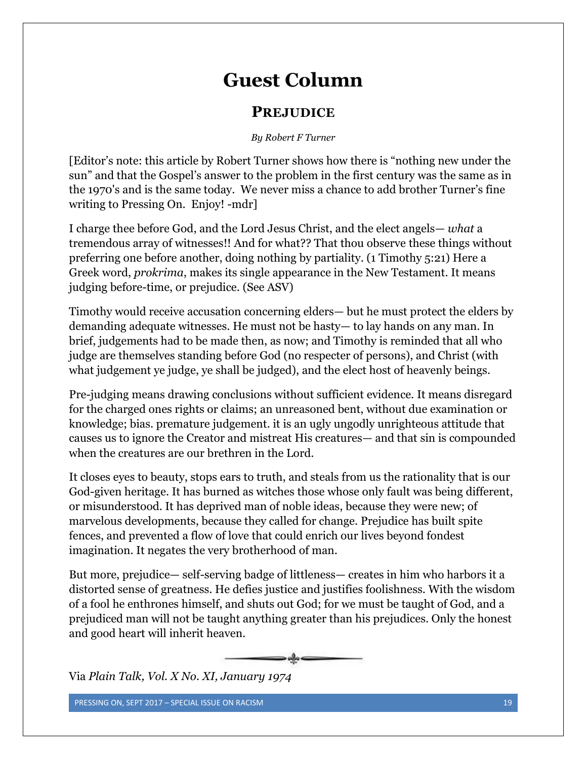# **Guest Column**

### **PREJUDICE**

#### *By Robert F Turner*

<span id="page-18-0"></span>[Editor's note: this article by Robert Turner shows how there is "nothing new under the sun" and that the Gospel's answer to the problem in the first century was the same as in the 1970's and is the same today. We never miss a chance to add brother Turner's fine writing to Pressing On. Enjoy! -mdr]

I charge thee before God, and the Lord Jesus Christ, and the elect angels— *what* a tremendous array of witnesses!! And for what?? That thou observe these things without preferring one before another, doing nothing by partiality. (1 Timothy 5:21) Here a Greek word, *prokrima*, makes its single appearance in the New Testament. It means judging before-time, or prejudice. (See ASV)

Timothy would receive accusation concerning elders— but he must protect the elders by demanding adequate witnesses. He must not be hasty— to lay hands on any man. In brief, judgements had to be made then, as now; and Timothy is reminded that all who judge are themselves standing before God (no respecter of persons), and Christ (with what judgement ye judge, ye shall be judged), and the elect host of heavenly beings.

Pre-judging means drawing conclusions without sufficient evidence. It means disregard for the charged ones rights or claims; an unreasoned bent, without due examination or knowledge; bias. premature judgement. it is an ugly ungodly unrighteous attitude that causes us to ignore the Creator and mistreat His creatures— and that sin is compounded when the creatures are our brethren in the Lord.

It closes eyes to beauty, stops ears to truth, and steals from us the rationality that is our God-given heritage. It has burned as witches those whose only fault was being different, or misunderstood. It has deprived man of noble ideas, because they were new; of marvelous developments, because they called for change. Prejudice has built spite fences, and prevented a flow of love that could enrich our lives beyond fondest imagination. It negates the very brotherhood of man.

But more, prejudice— self-serving badge of littleness— creates in him who harbors it a distorted sense of greatness. He defies justice and justifies foolishness. With the wisdom of a fool he enthrones himself, and shuts out God; for we must be taught of God, and a prejudiced man will not be taught anything greater than his prejudices. Only the honest and good heart will inherit heaven.



Via *Plain Talk, Vol. X No. XI, January 1974*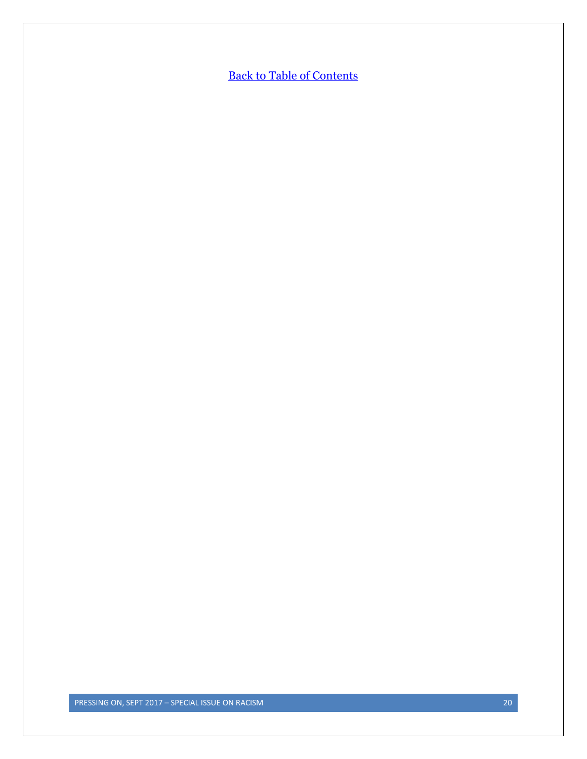**[Back to Table of Contents](#page-0-0)**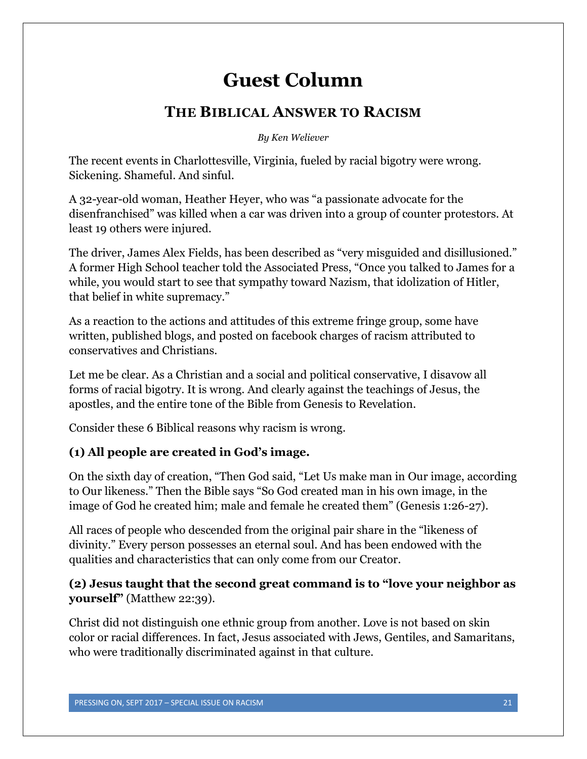# **Guest Column**

## **THE BIBLICAL ANSWER TO RACISM**

*By Ken Weliever*

<span id="page-20-0"></span>The recent events in Charlottesville, Virginia, fueled by racial bigotry were wrong. Sickening. Shameful. And sinful.

A 32-year-old woman, Heather Heyer, who was "a passionate advocate for the disenfranchised" was killed when a car was driven into a group of counter protestors. At least 19 others were injured.

The driver, James Alex Fields, has been described as "very misguided and disillusioned." A former High School teacher told the Associated Press, "Once you talked to James for a while, you would start to see that sympathy toward Nazism, that idolization of Hitler, that belief in white supremacy."

As a reaction to the actions and attitudes of this extreme fringe group, some have written, published blogs, and posted on facebook charges of racism attributed to conservatives and Christians.

Let me be clear. As a Christian and a social and political conservative, I disavow all forms of racial bigotry. It is wrong. And clearly against the teachings of Jesus, the apostles, and the entire tone of the Bible from Genesis to Revelation.

Consider these 6 Biblical reasons why racism is wrong.

#### **(1) All people are created in God's image.**

On the sixth day of creation, "Then God said, "Let Us make man in Our image, according to Our likeness." Then the Bible says "So God created man in his own image, in the image of God he created him; male and female he created them" (Genesis 1:26-27).

All races of people who descended from the original pair share in the "likeness of divinity." Every person possesses an eternal soul. And has been endowed with the qualities and characteristics that can only come from our Creator.

#### **(2) Jesus taught that the second great command is to "love your neighbor as yourself"** (Matthew 22:39).

Christ did not distinguish one ethnic group from another. Love is not based on skin color or racial differences. In fact, Jesus associated with Jews, Gentiles, and Samaritans, who were traditionally discriminated against in that culture.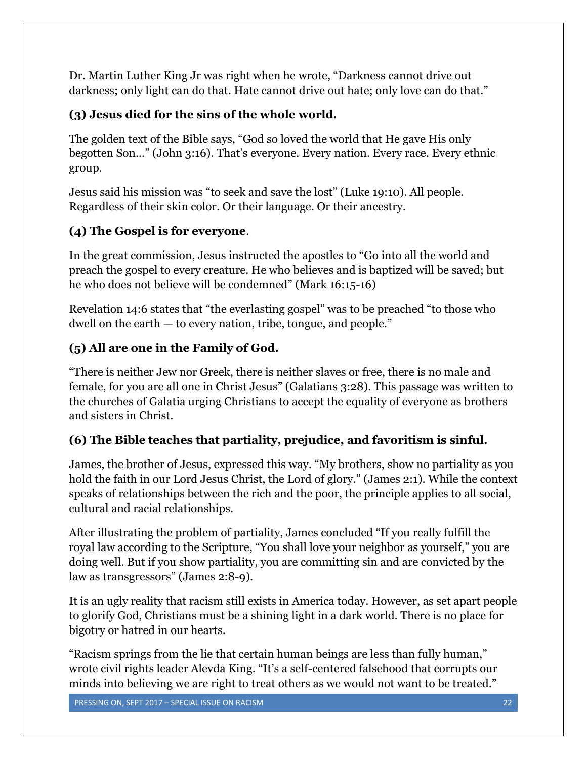Dr. Martin Luther King Jr was right when he wrote, "Darkness cannot drive out darkness; only light can do that. Hate cannot drive out hate; only love can do that."

### **(3) Jesus died for the sins of the whole world.**

The golden text of the Bible says, "God so loved the world that He gave His only begotten Son…" (John 3:16). That's everyone. Every nation. Every race. Every ethnic group.

Jesus said his mission was "to seek and save the lost" (Luke 19:10). All people. Regardless of their skin color. Or their language. Or their ancestry.

## **(4) The Gospel is for everyone**.

In the great commission, Jesus instructed the apostles to "Go into all the world and preach the gospel to every creature. He who believes and is baptized will be saved; but he who does not believe will be condemned" (Mark 16:15-16)

Revelation 14:6 states that "the everlasting gospel" was to be preached "to those who dwell on the earth — to every nation, tribe, tongue, and people."

### **(5) All are one in the Family of God.**

"There is neither Jew nor Greek, there is neither slaves or free, there is no male and female, for you are all one in Christ Jesus" (Galatians 3:28). This passage was written to the churches of Galatia urging Christians to accept the equality of everyone as brothers and sisters in Christ.

#### **(6) The Bible teaches that partiality, prejudice, and favoritism is sinful.**

James, the brother of Jesus, expressed this way. "My brothers, show no partiality as you hold the faith in our Lord Jesus Christ, the Lord of glory." (James 2:1). While the context speaks of relationships between the rich and the poor, the principle applies to all social, cultural and racial relationships.

After illustrating the problem of partiality, James concluded "If you really fulfill the royal law according to the Scripture, "You shall love your neighbor as yourself," you are doing well. But if you show partiality, you are committing sin and are convicted by the law as transgressors" (James 2:8-9).

It is an ugly reality that racism still exists in America today. However, as set apart people to glorify God, Christians must be a shining light in a dark world. There is no place for bigotry or hatred in our hearts.

"Racism springs from the lie that certain human beings are less than fully human," wrote civil rights leader Alevda King. "It's a self-centered falsehood that corrupts our minds into believing we are right to treat others as we would not want to be treated."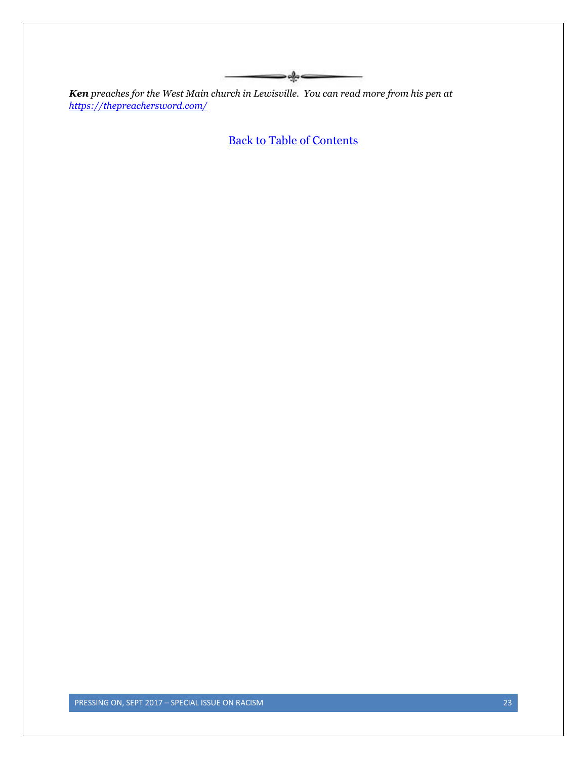*Ken preaches for the West Main church in Lewisville. You can read more from his pen at <https://thepreachersword.com/>*

[Back to Table of Contents](#page-0-0)

 $\longrightarrow$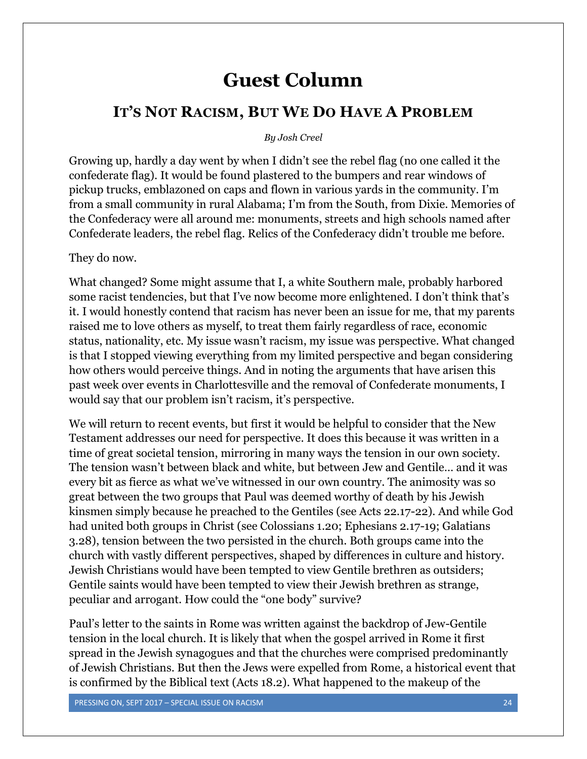## **Guest Column**

#### <span id="page-23-0"></span>**IT'S NOT RACISM, BUT WE DO HAVE A PROBLEM**

#### *By Josh Creel*

Growing up, hardly a day went by when I didn't see the rebel flag (no one called it the confederate flag). It would be found plastered to the bumpers and rear windows of pickup trucks, emblazoned on caps and flown in various yards in the community. I'm from a small community in rural Alabama; I'm from the South, from Dixie. Memories of the Confederacy were all around me: monuments, streets and high schools named after Confederate leaders, the rebel flag. Relics of the Confederacy didn't trouble me before.

#### They do now.

What changed? Some might assume that I, a white Southern male, probably harbored some racist tendencies, but that I've now become more enlightened. I don't think that's it. I would honestly contend that racism has never been an issue for me, that my parents raised me to love others as myself, to treat them fairly regardless of race, economic status, nationality, etc. My issue wasn't racism, my issue was perspective. What changed is that I stopped viewing everything from my limited perspective and began considering how others would perceive things. And in noting the arguments that have arisen this past week over events in Charlottesville and the removal of Confederate monuments, I would say that our problem isn't racism, it's perspective.

We will return to recent events, but first it would be helpful to consider that the New Testament addresses our need for perspective. It does this because it was written in a time of great societal tension, mirroring in many ways the tension in our own society. The tension wasn't between black and white, but between Jew and Gentile… and it was every bit as fierce as what we've witnessed in our own country. The animosity was so great between the two groups that Paul was deemed worthy of death by his Jewish kinsmen simply because he preached to the Gentiles (see Acts 22.17-22). And while God had united both groups in Christ (see Colossians 1.20; Ephesians 2.17-19; Galatians 3.28), tension between the two persisted in the church. Both groups came into the church with vastly different perspectives, shaped by differences in culture and history. Jewish Christians would have been tempted to view Gentile brethren as outsiders; Gentile saints would have been tempted to view their Jewish brethren as strange, peculiar and arrogant. How could the "one body" survive?

Paul's letter to the saints in Rome was written against the backdrop of Jew-Gentile tension in the local church. It is likely that when the gospel arrived in Rome it first spread in the Jewish synagogues and that the churches were comprised predominantly of Jewish Christians. But then the Jews were expelled from Rome, a historical event that is confirmed by the Biblical text (Acts 18.2). What happened to the makeup of the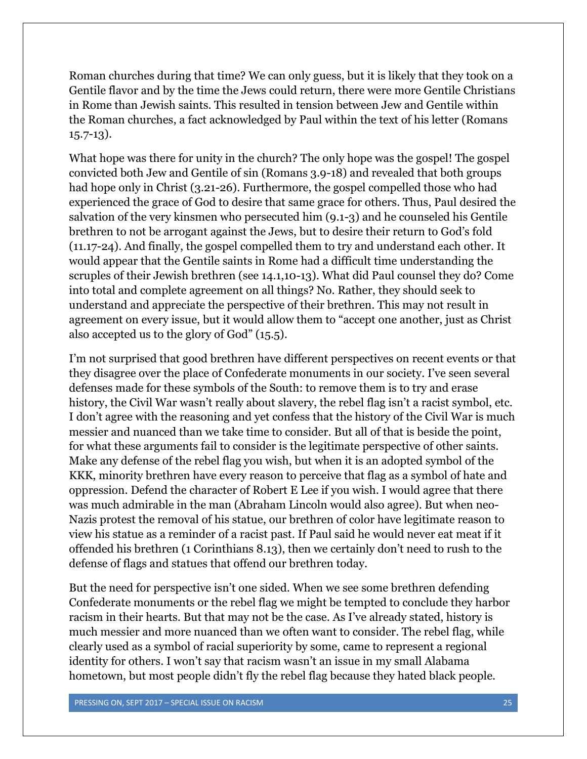Roman churches during that time? We can only guess, but it is likely that they took on a Gentile flavor and by the time the Jews could return, there were more Gentile Christians in Rome than Jewish saints. This resulted in tension between Jew and Gentile within the Roman churches, a fact acknowledged by Paul within the text of his letter (Romans 15.7-13).

What hope was there for unity in the church? The only hope was the gospel! The gospel convicted both Jew and Gentile of sin (Romans 3.9-18) and revealed that both groups had hope only in Christ (3.21-26). Furthermore, the gospel compelled those who had experienced the grace of God to desire that same grace for others. Thus, Paul desired the salvation of the very kinsmen who persecuted him (9.1-3) and he counseled his Gentile brethren to not be arrogant against the Jews, but to desire their return to God's fold (11.17-24). And finally, the gospel compelled them to try and understand each other. It would appear that the Gentile saints in Rome had a difficult time understanding the scruples of their Jewish brethren (see 14.1,10-13). What did Paul counsel they do? Come into total and complete agreement on all things? No. Rather, they should seek to understand and appreciate the perspective of their brethren. This may not result in agreement on every issue, but it would allow them to "accept one another, just as Christ also accepted us to the glory of God" (15.5).

I'm not surprised that good brethren have different perspectives on recent events or that they disagree over the place of Confederate monuments in our society. I've seen several defenses made for these symbols of the South: to remove them is to try and erase history, the Civil War wasn't really about slavery, the rebel flag isn't a racist symbol, etc. I don't agree with the reasoning and yet confess that the history of the Civil War is much messier and nuanced than we take time to consider. But all of that is beside the point, for what these arguments fail to consider is the legitimate perspective of other saints. Make any defense of the rebel flag you wish, but when it is an adopted symbol of the KKK, minority brethren have every reason to perceive that flag as a symbol of hate and oppression. Defend the character of Robert E Lee if you wish. I would agree that there was much admirable in the man (Abraham Lincoln would also agree). But when neo-Nazis protest the removal of his statue, our brethren of color have legitimate reason to view his statue as a reminder of a racist past. If Paul said he would never eat meat if it offended his brethren (1 Corinthians 8.13), then we certainly don't need to rush to the defense of flags and statues that offend our brethren today.

But the need for perspective isn't one sided. When we see some brethren defending Confederate monuments or the rebel flag we might be tempted to conclude they harbor racism in their hearts. But that may not be the case. As I've already stated, history is much messier and more nuanced than we often want to consider. The rebel flag, while clearly used as a symbol of racial superiority by some, came to represent a regional identity for others. I won't say that racism wasn't an issue in my small Alabama hometown, but most people didn't fly the rebel flag because they hated black people.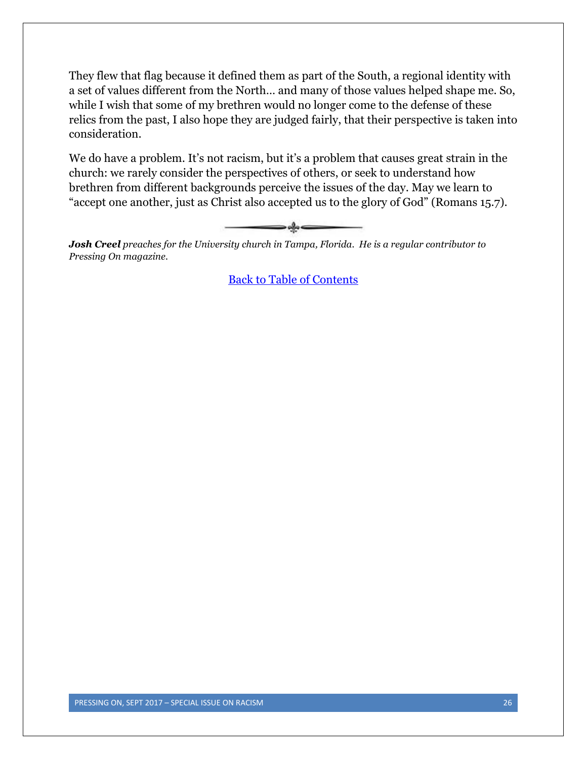They flew that flag because it defined them as part of the South, a regional identity with a set of values different from the North… and many of those values helped shape me. So, while I wish that some of my brethren would no longer come to the defense of these relics from the past, I also hope they are judged fairly, that their perspective is taken into consideration.

We do have a problem. It's not racism, but it's a problem that causes great strain in the church: we rarely consider the perspectives of others, or seek to understand how brethren from different backgrounds perceive the issues of the day. May we learn to "accept one another, just as Christ also accepted us to the glory of God" (Romans 15.7).



*Josh Creel preaches for the University church in Tampa, Florida. He is a regular contributor to Pressing On magazine.*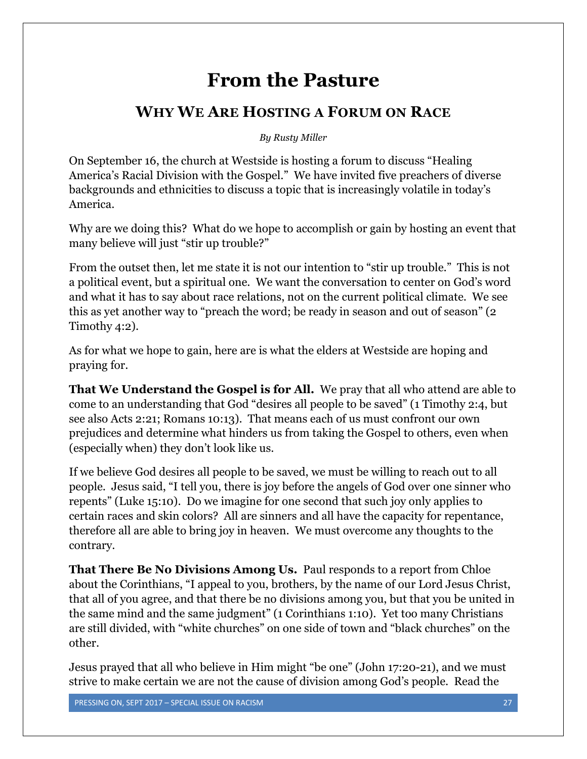# **From the Pasture**

## <span id="page-26-0"></span>**WHY WE ARE HOSTING A FORUM ON RACE**

*By Rusty Miller*

On September 16, the church at Westside is hosting a forum to discuss "Healing America's Racial Division with the Gospel." We have invited five preachers of diverse backgrounds and ethnicities to discuss a topic that is increasingly volatile in today's America.

Why are we doing this? What do we hope to accomplish or gain by hosting an event that many believe will just "stir up trouble?"

From the outset then, let me state it is not our intention to "stir up trouble." This is not a political event, but a spiritual one. We want the conversation to center on God's word and what it has to say about race relations, not on the current political climate. We see this as yet another way to "preach the word; be ready in season and out of season" (2 Timothy 4:2).

As for what we hope to gain, here are is what the elders at Westside are hoping and praying for.

**That We Understand the Gospel is for All.** We pray that all who attend are able to come to an understanding that God "desires all people to be saved" (1 Timothy 2:4, but see also Acts 2:21; Romans 10:13). That means each of us must confront our own prejudices and determine what hinders us from taking the Gospel to others, even when (especially when) they don't look like us.

If we believe God desires all people to be saved, we must be willing to reach out to all people. Jesus said, "I tell you, there is joy before the angels of God over one sinner who repents" (Luke 15:10). Do we imagine for one second that such joy only applies to certain races and skin colors? All are sinners and all have the capacity for repentance, therefore all are able to bring joy in heaven. We must overcome any thoughts to the contrary.

**That There Be No Divisions Among Us.** Paul responds to a report from Chloe about the Corinthians, "I appeal to you, brothers, by the name of our Lord Jesus Christ, that all of you agree, and that there be no divisions among you, but that you be united in the same mind and the same judgment" (1 Corinthians 1:10). Yet too many Christians are still divided, with "white churches" on one side of town and "black churches" on the other.

Jesus prayed that all who believe in Him might "be one" (John 17:20-21), and we must strive to make certain we are not the cause of division among God's people. Read the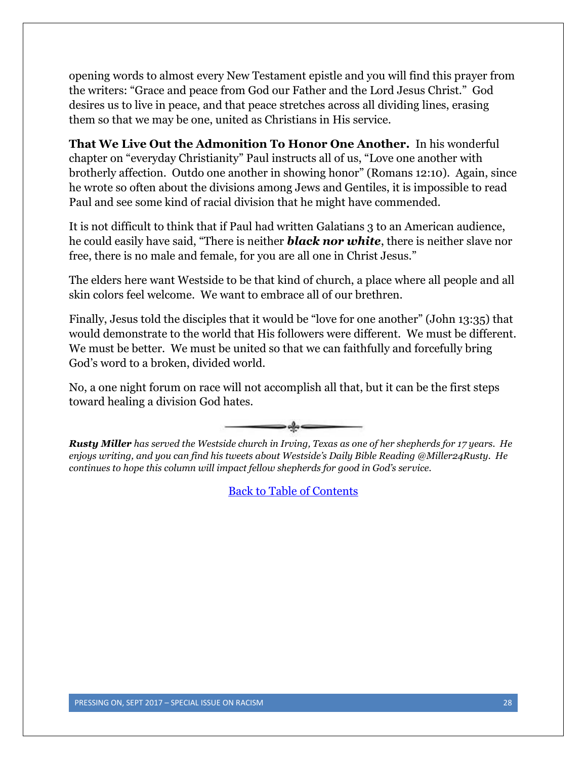opening words to almost every New Testament epistle and you will find this prayer from the writers: "Grace and peace from God our Father and the Lord Jesus Christ." God desires us to live in peace, and that peace stretches across all dividing lines, erasing them so that we may be one, united as Christians in His service.

**That We Live Out the Admonition To Honor One Another.** In his wonderful chapter on "everyday Christianity" Paul instructs all of us, "Love one another with brotherly affection. Outdo one another in showing honor" (Romans 12:10). Again, since he wrote so often about the divisions among Jews and Gentiles, it is impossible to read Paul and see some kind of racial division that he might have commended.

It is not difficult to think that if Paul had written Galatians 3 to an American audience, he could easily have said, "There is neither *black nor white*, there is neither slave nor free, there is no male and female, for you are all one in Christ Jesus."

The elders here want Westside to be that kind of church, a place where all people and all skin colors feel welcome. We want to embrace all of our brethren.

Finally, Jesus told the disciples that it would be "love for one another" (John 13:35) that would demonstrate to the world that His followers were different. We must be different. We must be better. We must be united so that we can faithfully and forcefully bring God's word to a broken, divided world.

No, a one night forum on race will not accomplish all that, but it can be the first steps toward healing a division God hates.



*Rusty Miller has served the Westside church in Irving, Texas as one of her shepherds for 17 years. He enjoys writing, and you can find his tweets about Westside's Daily Bible Reading @Miller24Rusty. He continues to hope this column will impact fellow shepherds for good in God's service.*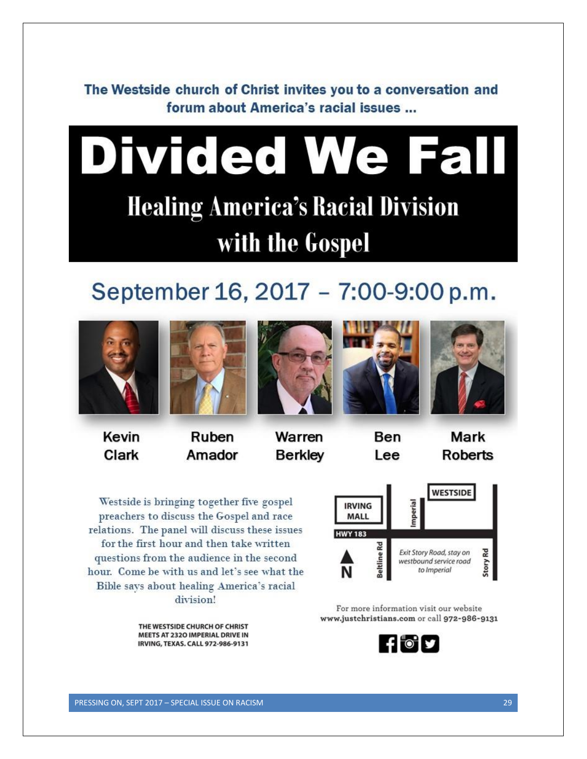<span id="page-28-0"></span>The Westside church of Christ invites you to a conversation and forum about America's racial issues ...

# **Divided We Fall Healing America's Racial Division** with the Gospel

# September 16, 2017 - 7:00-9:00 p.m.





Kevin Clark

Ruben Amador



Warren **Berkley** 





Ben Lee

Mark **Roberts** 

Westside is bringing together five gospel preachers to discuss the Gospel and race relations. The panel will discuss these issues for the first hour and then take written questions from the audience in the second hour. Come be with us and let's see what the Bible says about healing America's racial division!



THE WESTSIDE CHURCH OF CHRIST MEETS AT 2320 IMPERIAL DRIVE IN IRVING, TEXAS. CALL 972-986-9131

For more information visit our website www.justchristians.com or call 972-986-9131

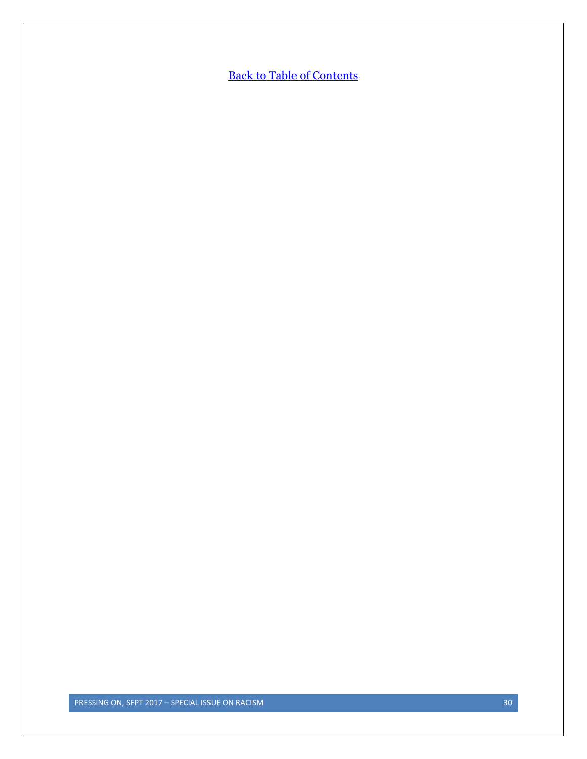**[Back to Table of Contents](#page-0-0)**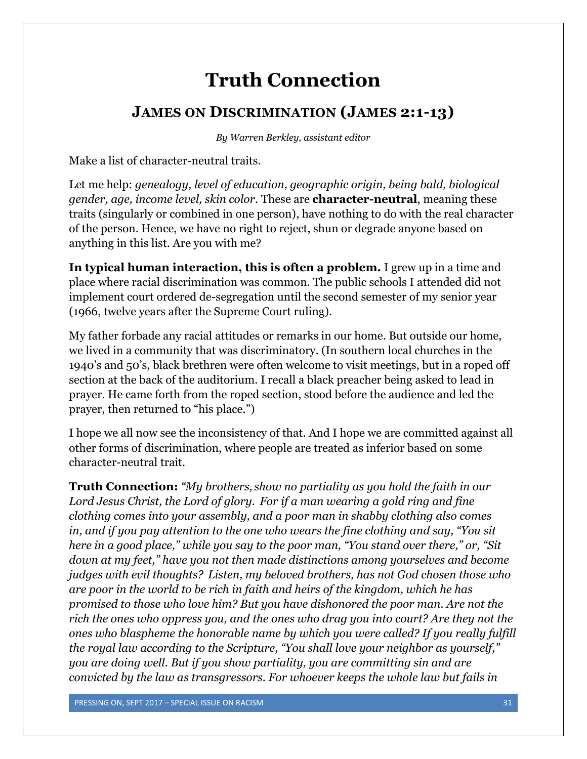# **Truth Connection**

## <span id="page-30-0"></span>**JAMES ON DISCRIMINATION (JAMES 2:1-13)**

*By Warren Berkley, assistant editor*

Make a list of character-neutral traits.

Let me help: *genealogy, level of education, geographic origin, being bald, biological gender, age, income level, skin color.* These are **character-neutral**, meaning these traits (singularly or combined in one person), have nothing to do with the real character of the person. Hence, we have no right to reject, shun or degrade anyone based on anything in this list. Are you with me?

**In typical human interaction, this is often a problem.** I grew up in a time and place where racial discrimination was common. The public schools I attended did not implement court ordered de-segregation until the second semester of my senior year (1966, twelve years after the Supreme Court ruling).

My father forbade any racial attitudes or remarks in our home. But outside our home, we lived in a community that was discriminatory. (In southern local churches in the 1940's and 50's, black brethren were often welcome to visit meetings, but in a roped off section at the back of the auditorium. I recall a black preacher being asked to lead in prayer. He came forth from the roped section, stood before the audience and led the prayer, then returned to "his place.")

I hope we all now see the inconsistency of that. And I hope we are committed against all other forms of discrimination, where people are treated as inferior based on some character-neutral trait.

**Truth Connection:** *"My brothers, show no partiality as you hold the faith in our Lord Jesus Christ, the Lord of glory. For if a man wearing a gold ring and fine clothing comes into your assembly, and a poor man in shabby clothing also comes in, and if you pay attention to the one who wears the fine clothing and say, "You sit here in a good place," while you say to the poor man, "You stand over there," or, "Sit down at my feet," have you not then made distinctions among yourselves and become judges with evil thoughts? Listen, my beloved brothers, has not God chosen those who are poor in the world to be rich in faith and heirs of the kingdom, which he has promised to those who love him? But you have dishonored the poor man. Are not the rich the ones who oppress you, and the ones who drag you into court? Are they not the ones who blaspheme the honorable name by which you were called? If you really fulfill the royal law according to the Scripture, "You shall love your neighbor as yourself," you are doing well. But if you show partiality, you are committing sin and are convicted by the law as transgressors. For whoever keeps the whole law but fails in*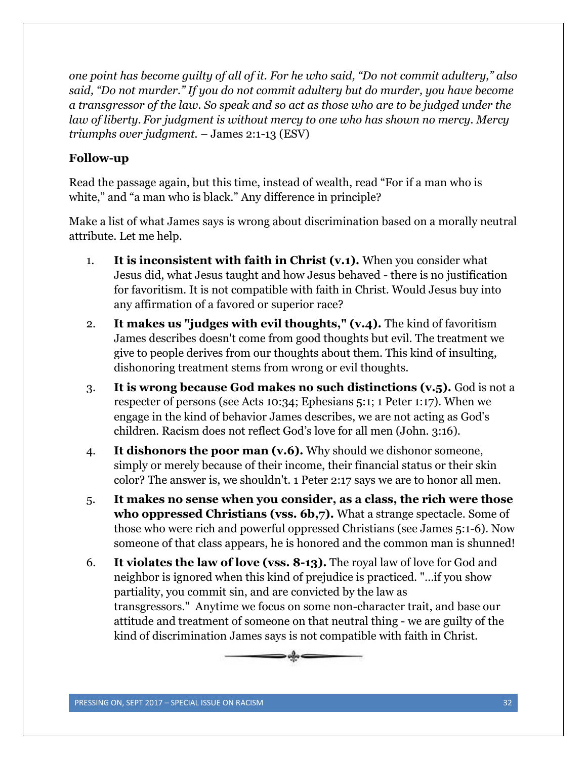*one point has become guilty of all of it. For he who said, "Do not commit adultery," also said, "Do not murder." If you do not commit adultery but do murder, you have become a transgressor of the law. So speak and so act as those who are to be judged under the law of liberty. For judgment is without mercy to one who has shown no mercy. Mercy triumphs over judgment.* – James 2:1-13 (ESV)

#### **Follow-up**

Read the passage again, but this time, instead of wealth, read "For if a man who is white," and "a man who is black." Any difference in principle?

Make a list of what James says is wrong about discrimination based on a morally neutral attribute. Let me help.

- 1. **It is inconsistent with faith in Christ (v.1).** When you consider what Jesus did, what Jesus taught and how Jesus behaved - there is no justification for favoritism. It is not compatible with faith in Christ. Would Jesus buy into any affirmation of a favored or superior race?
- 2. **It makes us "judges with evil thoughts," (v.4).** The kind of favoritism James describes doesn't come from good thoughts but evil. The treatment we give to people derives from our thoughts about them. This kind of insulting, dishonoring treatment stems from wrong or evil thoughts.
- 3. **It is wrong because God makes no such distinctions (v.5).** God is not a respecter of persons (see Acts 10:34; Ephesians 5:1; 1 Peter 1:17). When we engage in the kind of behavior James describes, we are not acting as God's children. Racism does not reflect God's love for all men (John. 3:16).
- 4. **It dishonors the poor man (v.6).** Why should we dishonor someone, simply or merely because of their income, their financial status or their skin color? The answer is, we shouldn't. 1 Peter 2:17 says we are to honor all men.
- 5. **It makes no sense when you consider, as a class, the rich were those who oppressed Christians (vss. 6b,7).** What a strange spectacle. Some of those who were rich and powerful oppressed Christians (see James 5:1-6). Now someone of that class appears, he is honored and the common man is shunned!
- 6. **It violates the law of love (vss. 8-13).** The royal law of love for God and neighbor is ignored when this kind of prejudice is practiced. "…if you show partiality, you commit sin, and are convicted by the law as transgressors." Anytime we focus on some non-character trait, and base our attitude and treatment of someone on that neutral thing - we are guilty of the kind of discrimination James says is not compatible with faith in Christ.